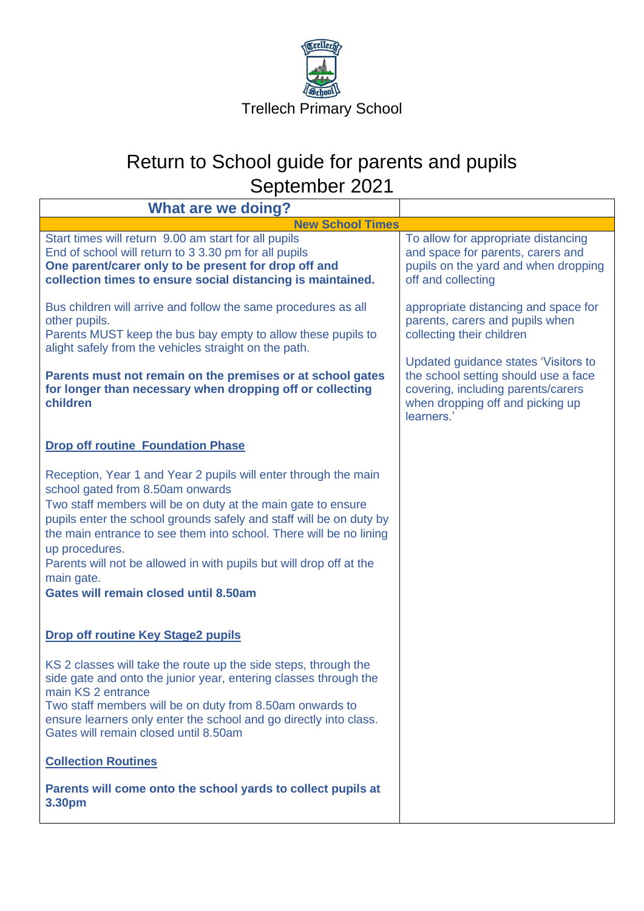

| <b>What are we doing?</b>                                                                                                                                                                                                                                                                                                                                                                                                                                        |                                                                                                                                                                      |
|------------------------------------------------------------------------------------------------------------------------------------------------------------------------------------------------------------------------------------------------------------------------------------------------------------------------------------------------------------------------------------------------------------------------------------------------------------------|----------------------------------------------------------------------------------------------------------------------------------------------------------------------|
| <b>New School Times</b>                                                                                                                                                                                                                                                                                                                                                                                                                                          |                                                                                                                                                                      |
| Start times will return 9.00 am start for all pupils<br>End of school will return to 3 3.30 pm for all pupils<br>One parent/carer only to be present for drop off and<br>collection times to ensure social distancing is maintained.                                                                                                                                                                                                                             | To allow for appropriate distancing<br>and space for parents, carers and<br>pupils on the yard and when dropping<br>off and collecting                               |
| Bus children will arrive and follow the same procedures as all<br>other pupils.<br>Parents MUST keep the bus bay empty to allow these pupils to<br>alight safely from the vehicles straight on the path.                                                                                                                                                                                                                                                         | appropriate distancing and space for<br>parents, carers and pupils when<br>collecting their children                                                                 |
| Parents must not remain on the premises or at school gates<br>for longer than necessary when dropping off or collecting<br>children                                                                                                                                                                                                                                                                                                                              | Updated guidance states 'Visitors to<br>the school setting should use a face<br>covering, including parents/carers<br>when dropping off and picking up<br>learners.' |
| <b>Drop off routine Foundation Phase</b>                                                                                                                                                                                                                                                                                                                                                                                                                         |                                                                                                                                                                      |
| Reception, Year 1 and Year 2 pupils will enter through the main<br>school gated from 8.50am onwards<br>Two staff members will be on duty at the main gate to ensure<br>pupils enter the school grounds safely and staff will be on duty by<br>the main entrance to see them into school. There will be no lining<br>up procedures.<br>Parents will not be allowed in with pupils but will drop off at the<br>main gate.<br>Gates will remain closed until 8.50am |                                                                                                                                                                      |
| <b>Drop off routine Key Stage2 pupils</b>                                                                                                                                                                                                                                                                                                                                                                                                                        |                                                                                                                                                                      |
| KS 2 classes will take the route up the side steps, through the<br>side gate and onto the junior year, entering classes through the<br>main KS 2 entrance<br>Two staff members will be on duty from 8.50am onwards to<br>ensure learners only enter the school and go directly into class.<br>Gates will remain closed until 8.50am                                                                                                                              |                                                                                                                                                                      |
| <b>Collection Routines</b>                                                                                                                                                                                                                                                                                                                                                                                                                                       |                                                                                                                                                                      |
| Parents will come onto the school yards to collect pupils at<br>3.30pm                                                                                                                                                                                                                                                                                                                                                                                           |                                                                                                                                                                      |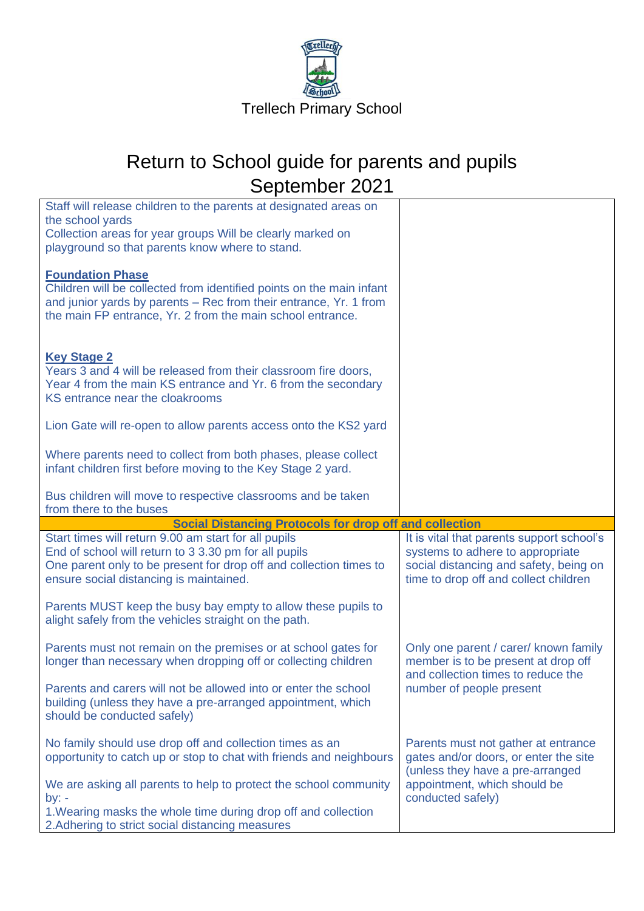

| Staff will release children to the parents at designated areas on<br>the school yards                                                                                                                                              |                                                                                                                                                                  |
|------------------------------------------------------------------------------------------------------------------------------------------------------------------------------------------------------------------------------------|------------------------------------------------------------------------------------------------------------------------------------------------------------------|
| Collection areas for year groups Will be clearly marked on<br>playground so that parents know where to stand.                                                                                                                      |                                                                                                                                                                  |
| <b>Foundation Phase</b><br>Children will be collected from identified points on the main infant<br>and junior yards by parents - Rec from their entrance, Yr. 1 from<br>the main FP entrance, Yr. 2 from the main school entrance. |                                                                                                                                                                  |
| <b>Key Stage 2</b><br>Years 3 and 4 will be released from their classroom fire doors,<br>Year 4 from the main KS entrance and Yr. 6 from the secondary<br>KS entrance near the cloakrooms                                          |                                                                                                                                                                  |
| Lion Gate will re-open to allow parents access onto the KS2 yard                                                                                                                                                                   |                                                                                                                                                                  |
| Where parents need to collect from both phases, please collect<br>infant children first before moving to the Key Stage 2 yard.                                                                                                     |                                                                                                                                                                  |
| Bus children will move to respective classrooms and be taken<br>from there to the buses                                                                                                                                            |                                                                                                                                                                  |
|                                                                                                                                                                                                                                    |                                                                                                                                                                  |
| <b>Social Distancing Protocols for drop off and collection</b>                                                                                                                                                                     |                                                                                                                                                                  |
| Start times will return 9.00 am start for all pupils<br>End of school will return to 3 3.30 pm for all pupils<br>One parent only to be present for drop off and collection times to<br>ensure social distancing is maintained.     | It is vital that parents support school's<br>systems to adhere to appropriate<br>social distancing and safety, being on<br>time to drop off and collect children |
| Parents MUST keep the busy bay empty to allow these pupils to<br>alight safely from the vehicles straight on the path.                                                                                                             |                                                                                                                                                                  |
| Parents must not remain on the premises or at school gates for<br>longer than necessary when dropping off or collecting children                                                                                                   | Only one parent / carer/ known family<br>member is to be present at drop off                                                                                     |
| Parents and carers will not be allowed into or enter the school<br>building (unless they have a pre-arranged appointment, which<br>should be conducted safely)                                                                     | and collection times to reduce the<br>number of people present                                                                                                   |
| No family should use drop off and collection times as an<br>opportunity to catch up or stop to chat with friends and neighbours                                                                                                    | Parents must not gather at entrance<br>gates and/or doors, or enter the site                                                                                     |
| We are asking all parents to help to protect the school community<br>by: $-$<br>1. Wearing masks the whole time during drop off and collection<br>2. Adhering to strict social distancing measures                                 | (unless they have a pre-arranged<br>appointment, which should be<br>conducted safely)                                                                            |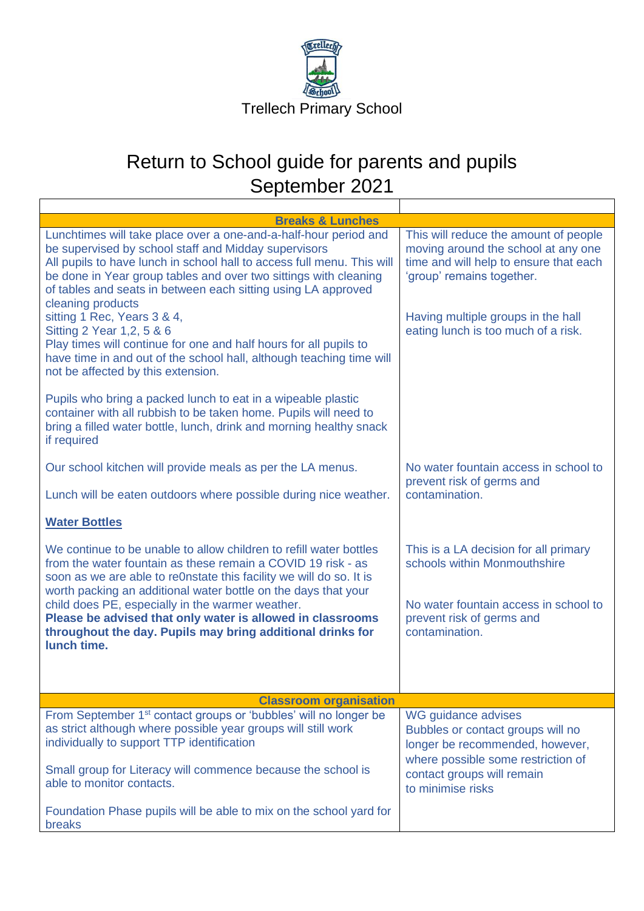

| <b>Breaks &amp; Lunches</b>                                                                                                                                                                                                                                                                                                                                                                                                                                                                                                                                                                                  |                                                                                                                                                                                                                                  |
|--------------------------------------------------------------------------------------------------------------------------------------------------------------------------------------------------------------------------------------------------------------------------------------------------------------------------------------------------------------------------------------------------------------------------------------------------------------------------------------------------------------------------------------------------------------------------------------------------------------|----------------------------------------------------------------------------------------------------------------------------------------------------------------------------------------------------------------------------------|
| Lunchtimes will take place over a one-and-a-half-hour period and<br>be supervised by school staff and Midday supervisors<br>All pupils to have lunch in school hall to access full menu. This will<br>be done in Year group tables and over two sittings with cleaning<br>of tables and seats in between each sitting using LA approved<br>cleaning products<br>sitting 1 Rec, Years 3 & 4,<br>Sitting 2 Year 1, 2, 5 & 6<br>Play times will continue for one and half hours for all pupils to<br>have time in and out of the school hall, although teaching time will<br>not be affected by this extension. | This will reduce the amount of people<br>moving around the school at any one<br>time and will help to ensure that each<br>'group' remains together.<br>Having multiple groups in the hall<br>eating lunch is too much of a risk. |
| Pupils who bring a packed lunch to eat in a wipeable plastic<br>container with all rubbish to be taken home. Pupils will need to<br>bring a filled water bottle, lunch, drink and morning healthy snack<br>if required                                                                                                                                                                                                                                                                                                                                                                                       |                                                                                                                                                                                                                                  |
| Our school kitchen will provide meals as per the LA menus.                                                                                                                                                                                                                                                                                                                                                                                                                                                                                                                                                   | No water fountain access in school to<br>prevent risk of germs and                                                                                                                                                               |
| Lunch will be eaten outdoors where possible during nice weather.                                                                                                                                                                                                                                                                                                                                                                                                                                                                                                                                             | contamination.                                                                                                                                                                                                                   |
| <b>Water Bottles</b>                                                                                                                                                                                                                                                                                                                                                                                                                                                                                                                                                                                         |                                                                                                                                                                                                                                  |
| We continue to be unable to allow children to refill water bottles<br>from the water fountain as these remain a COVID 19 risk - as<br>soon as we are able to re0nstate this facility we will do so. It is<br>worth packing an additional water bottle on the days that your<br>child does PE, especially in the warmer weather.<br>Please be advised that only water is allowed in classrooms<br>throughout the day. Pupils may bring additional drinks for                                                                                                                                                  | This is a LA decision for all primary<br>schools within Monmouthshire<br>No water fountain access in school to<br>prevent risk of germs and<br>contamination.                                                                    |
| lunch time.                                                                                                                                                                                                                                                                                                                                                                                                                                                                                                                                                                                                  |                                                                                                                                                                                                                                  |
| <b>Classroom organisation</b>                                                                                                                                                                                                                                                                                                                                                                                                                                                                                                                                                                                |                                                                                                                                                                                                                                  |
| From September 1 <sup>st</sup> contact groups or 'bubbles' will no longer be<br>as strict although where possible year groups will still work<br>individually to support TTP identification<br>Small group for Literacy will commence because the school is<br>able to monitor contacts.                                                                                                                                                                                                                                                                                                                     | WG guidance advises<br>Bubbles or contact groups will no<br>longer be recommended, however,<br>where possible some restriction of<br>contact groups will remain                                                                  |
| Foundation Phase pupils will be able to mix on the school yard for<br>breaks                                                                                                                                                                                                                                                                                                                                                                                                                                                                                                                                 | to minimise risks                                                                                                                                                                                                                |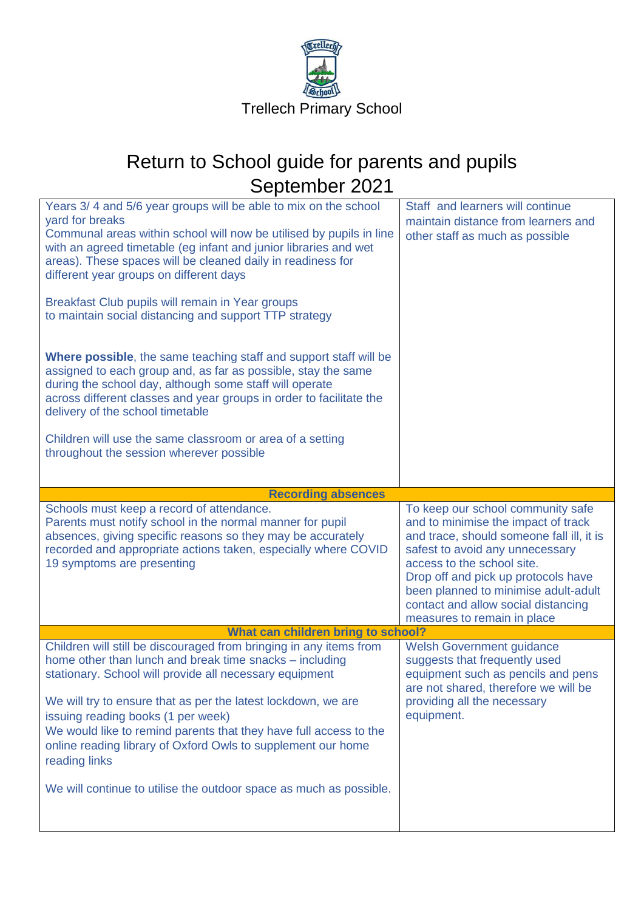

| yard for breaks<br>maintain distance from learners and<br>Communal areas within school will now be utilised by pupils in line<br>other staff as much as possible<br>with an agreed timetable (eg infant and junior libraries and wet<br>areas). These spaces will be cleaned daily in readiness for<br>different year groups on different days<br>Breakfast Club pupils will remain in Year groups<br>to maintain social distancing and support TTP strategy<br><b>Where possible, the same teaching staff and support staff will be</b><br>assigned to each group and, as far as possible, stay the same<br>during the school day, although some staff will operate<br>across different classes and year groups in order to facilitate the<br>delivery of the school timetable |  |
|---------------------------------------------------------------------------------------------------------------------------------------------------------------------------------------------------------------------------------------------------------------------------------------------------------------------------------------------------------------------------------------------------------------------------------------------------------------------------------------------------------------------------------------------------------------------------------------------------------------------------------------------------------------------------------------------------------------------------------------------------------------------------------|--|
| Children will use the same classroom or area of a setting<br>throughout the session wherever possible                                                                                                                                                                                                                                                                                                                                                                                                                                                                                                                                                                                                                                                                           |  |
| <b>Recording absences</b>                                                                                                                                                                                                                                                                                                                                                                                                                                                                                                                                                                                                                                                                                                                                                       |  |
| Schools must keep a record of attendance.<br>To keep our school community safe<br>Parents must notify school in the normal manner for pupil<br>and to minimise the impact of track<br>absences, giving specific reasons so they may be accurately<br>and trace, should someone fall ill, it is<br>recorded and appropriate actions taken, especially where COVID<br>safest to avoid any unnecessary<br>19 symptoms are presenting<br>access to the school site.<br>Drop off and pick up protocols have<br>been planned to minimise adult-adult<br>contact and allow social distancing<br>measures to remain in place                                                                                                                                                            |  |
| What can children bring to school?                                                                                                                                                                                                                                                                                                                                                                                                                                                                                                                                                                                                                                                                                                                                              |  |
| Children will still be discouraged from bringing in any items from<br><b>Welsh Government guidance</b><br>home other than lunch and break time snacks - including<br>suggests that frequently used<br>stationary. School will provide all necessary equipment<br>equipment such as pencils and pens<br>are not shared, therefore we will be<br>providing all the necessary<br>We will try to ensure that as per the latest lockdown, we are<br>equipment.<br>issuing reading books (1 per week)<br>We would like to remind parents that they have full access to the<br>online reading library of Oxford Owls to supplement our home<br>reading links<br>We will continue to utilise the outdoor space as much as possible.                                                     |  |
|                                                                                                                                                                                                                                                                                                                                                                                                                                                                                                                                                                                                                                                                                                                                                                                 |  |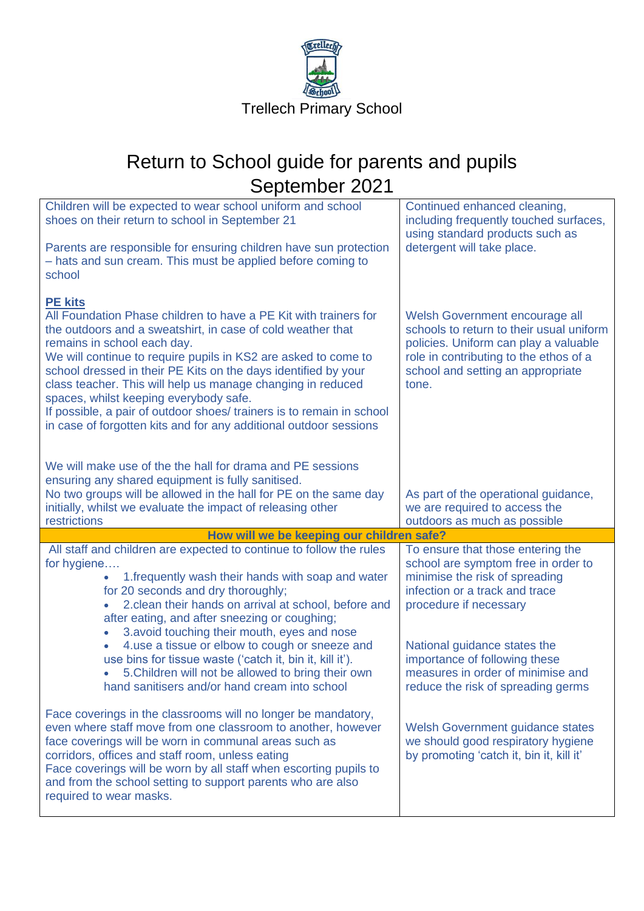

| Children will be expected to wear school uniform and school<br>shoes on their return to school in September 21<br>Parents are responsible for ensuring children have sun protection<br>- hats and sun cream. This must be applied before coming to<br>school                                                                                                                                                                                                                                                                                                                                                                        | Continued enhanced cleaning,<br>including frequently touched surfaces,<br>using standard products such as<br>detergent will take place.                                                                                                                                                                            |
|-------------------------------------------------------------------------------------------------------------------------------------------------------------------------------------------------------------------------------------------------------------------------------------------------------------------------------------------------------------------------------------------------------------------------------------------------------------------------------------------------------------------------------------------------------------------------------------------------------------------------------------|--------------------------------------------------------------------------------------------------------------------------------------------------------------------------------------------------------------------------------------------------------------------------------------------------------------------|
| <b>PE kits</b><br>All Foundation Phase children to have a PE Kit with trainers for<br>the outdoors and a sweatshirt, in case of cold weather that<br>remains in school each day.<br>We will continue to require pupils in KS2 are asked to come to<br>school dressed in their PE Kits on the days identified by your<br>class teacher. This will help us manage changing in reduced<br>spaces, whilst keeping everybody safe.<br>If possible, a pair of outdoor shoes/ trainers is to remain in school<br>in case of forgotten kits and for any additional outdoor sessions                                                         | Welsh Government encourage all<br>schools to return to their usual uniform<br>policies. Uniform can play a valuable<br>role in contributing to the ethos of a<br>school and setting an appropriate<br>tone.                                                                                                        |
| We will make use of the the hall for drama and PE sessions<br>ensuring any shared equipment is fully sanitised.<br>No two groups will be allowed in the hall for PE on the same day<br>initially, whilst we evaluate the impact of releasing other                                                                                                                                                                                                                                                                                                                                                                                  | As part of the operational guidance,<br>we are required to access the                                                                                                                                                                                                                                              |
| restrictions                                                                                                                                                                                                                                                                                                                                                                                                                                                                                                                                                                                                                        | outdoors as much as possible                                                                                                                                                                                                                                                                                       |
|                                                                                                                                                                                                                                                                                                                                                                                                                                                                                                                                                                                                                                     |                                                                                                                                                                                                                                                                                                                    |
| How will we be keeping our children safe?<br>All staff and children are expected to continue to follow the rules<br>for hygiene<br>1. frequently wash their hands with soap and water<br>for 20 seconds and dry thoroughly;<br>2. clean their hands on arrival at school, before and<br>after eating, and after sneezing or coughing;<br>3.avoid touching their mouth, eyes and nose<br>$\bullet$<br>4.use a tissue or elbow to cough or sneeze and<br>$\bullet$<br>use bins for tissue waste ('catch it, bin it, kill it').<br>5. Children will not be allowed to bring their own<br>hand sanitisers and/or hand cream into school | To ensure that those entering the<br>school are symptom free in order to<br>minimise the risk of spreading<br>infection or a track and trace<br>procedure if necessary<br>National guidance states the<br>importance of following these<br>measures in order of minimise and<br>reduce the risk of spreading germs |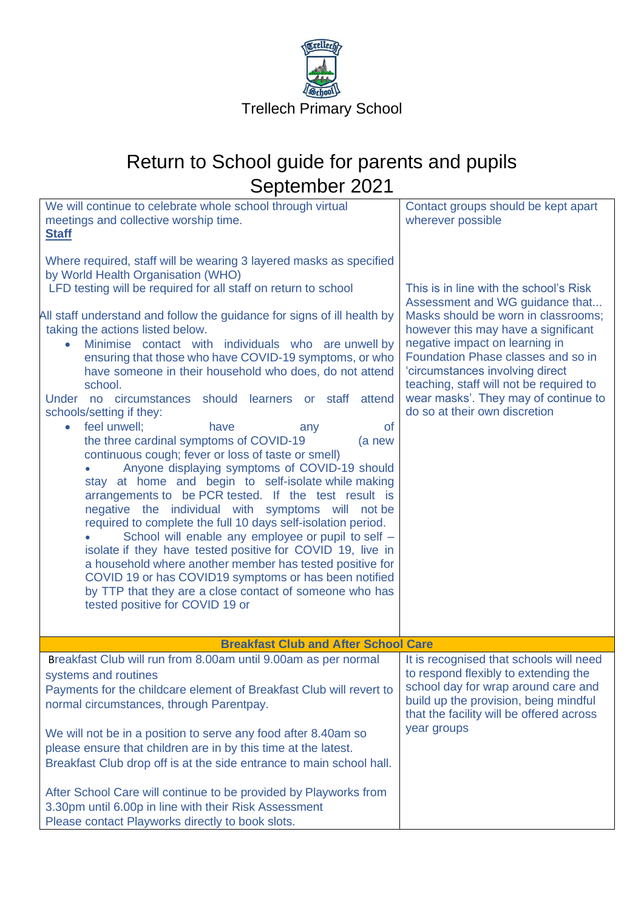

| We will continue to celebrate whole school through virtual<br>meetings and collective worship time.<br><b>Staff</b><br>Where required, staff will be wearing 3 layered masks as specified<br>by World Health Organisation (WHO)<br>LFD testing will be required for all staff on return to school<br>All staff understand and follow the guidance for signs of ill health by<br>taking the actions listed below.<br>Minimise contact with individuals who are unwell by<br>ensuring that those who have COVID-19 symptoms, or who<br>have someone in their household who does, do not attend<br>school.<br>Under no circumstances should learners or staff attend<br>schools/setting if they:<br>feel unwell;<br><b>of</b><br>have<br>$\bullet$<br>any<br>the three cardinal symptoms of COVID-19<br>(a new<br>continuous cough; fever or loss of taste or smell)<br>Anyone displaying symptoms of COVID-19 should<br>stay at home and begin to self-isolate while making<br>arrangements to be PCR tested. If the test result is<br>negative the individual with symptoms will not be<br>required to complete the full 10 days self-isolation period.<br>School will enable any employee or pupil to self -<br>isolate if they have tested positive for COVID 19, live in<br>a household where another member has tested positive for<br>COVID 19 or has COVID19 symptoms or has been notified<br>by TTP that they are a close contact of someone who has<br>tested positive for COVID 19 or | Contact groups should be kept apart<br>wherever possible<br>This is in line with the school's Risk<br>Assessment and WG guidance that<br>Masks should be worn in classrooms;<br>however this may have a significant<br>negative impact on learning in<br>Foundation Phase classes and so in<br>'circumstances involving direct<br>teaching, staff will not be required to<br>wear masks'. They may of continue to<br>do so at their own discretion |
|-----------------------------------------------------------------------------------------------------------------------------------------------------------------------------------------------------------------------------------------------------------------------------------------------------------------------------------------------------------------------------------------------------------------------------------------------------------------------------------------------------------------------------------------------------------------------------------------------------------------------------------------------------------------------------------------------------------------------------------------------------------------------------------------------------------------------------------------------------------------------------------------------------------------------------------------------------------------------------------------------------------------------------------------------------------------------------------------------------------------------------------------------------------------------------------------------------------------------------------------------------------------------------------------------------------------------------------------------------------------------------------------------------------------------------------------------------------------------------------------------|----------------------------------------------------------------------------------------------------------------------------------------------------------------------------------------------------------------------------------------------------------------------------------------------------------------------------------------------------------------------------------------------------------------------------------------------------|
|                                                                                                                                                                                                                                                                                                                                                                                                                                                                                                                                                                                                                                                                                                                                                                                                                                                                                                                                                                                                                                                                                                                                                                                                                                                                                                                                                                                                                                                                                               |                                                                                                                                                                                                                                                                                                                                                                                                                                                    |
| <b>Breakfast Club and After School Care</b><br>Breakfast Club will run from 8.00am until 9.00am as per normal                                                                                                                                                                                                                                                                                                                                                                                                                                                                                                                                                                                                                                                                                                                                                                                                                                                                                                                                                                                                                                                                                                                                                                                                                                                                                                                                                                                 | It is recognised that schools will need                                                                                                                                                                                                                                                                                                                                                                                                            |
| systems and routines<br>Payments for the childcare element of Breakfast Club will revert to<br>normal circumstances, through Parentpay.                                                                                                                                                                                                                                                                                                                                                                                                                                                                                                                                                                                                                                                                                                                                                                                                                                                                                                                                                                                                                                                                                                                                                                                                                                                                                                                                                       | to respond flexibly to extending the<br>school day for wrap around care and<br>build up the provision, being mindful<br>that the facility will be offered across<br>year groups                                                                                                                                                                                                                                                                    |
| We will not be in a position to serve any food after 8.40am so<br>please ensure that children are in by this time at the latest.<br>Breakfast Club drop off is at the side entrance to main school hall.                                                                                                                                                                                                                                                                                                                                                                                                                                                                                                                                                                                                                                                                                                                                                                                                                                                                                                                                                                                                                                                                                                                                                                                                                                                                                      |                                                                                                                                                                                                                                                                                                                                                                                                                                                    |
| After School Care will continue to be provided by Playworks from<br>3.30pm until 6.00p in line with their Risk Assessment<br>Please contact Playworks directly to book slots.                                                                                                                                                                                                                                                                                                                                                                                                                                                                                                                                                                                                                                                                                                                                                                                                                                                                                                                                                                                                                                                                                                                                                                                                                                                                                                                 |                                                                                                                                                                                                                                                                                                                                                                                                                                                    |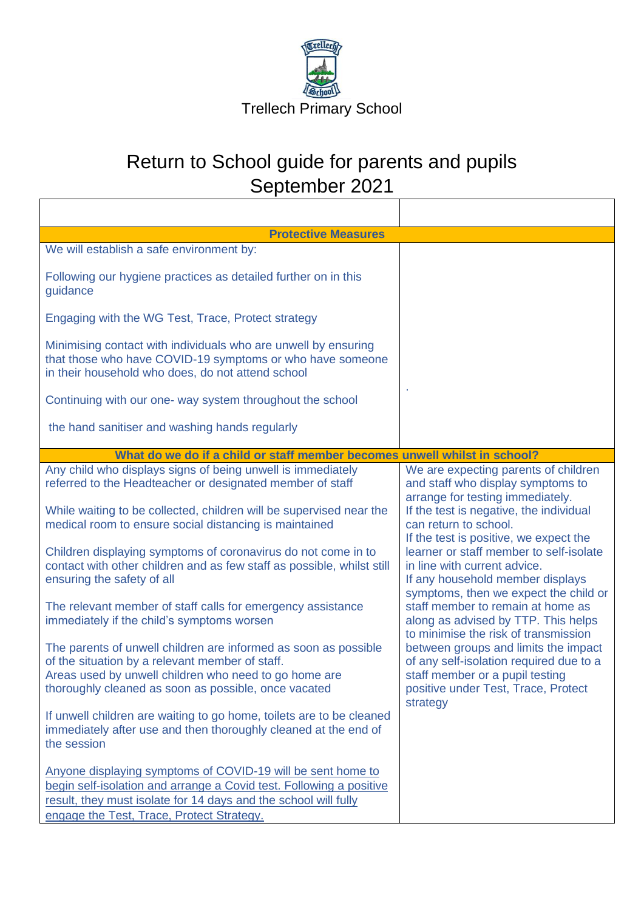

| <b>Protective Measures</b>                                                                                                                                                                                                                                                                                                                                                                                                                                                                                                                                                                                                                                                                                                                                                             |                                                                                                                                                                                                                                                                                                                                                                                                                                                                                                                                                                                                                                                                      |
|----------------------------------------------------------------------------------------------------------------------------------------------------------------------------------------------------------------------------------------------------------------------------------------------------------------------------------------------------------------------------------------------------------------------------------------------------------------------------------------------------------------------------------------------------------------------------------------------------------------------------------------------------------------------------------------------------------------------------------------------------------------------------------------|----------------------------------------------------------------------------------------------------------------------------------------------------------------------------------------------------------------------------------------------------------------------------------------------------------------------------------------------------------------------------------------------------------------------------------------------------------------------------------------------------------------------------------------------------------------------------------------------------------------------------------------------------------------------|
| We will establish a safe environment by:                                                                                                                                                                                                                                                                                                                                                                                                                                                                                                                                                                                                                                                                                                                                               |                                                                                                                                                                                                                                                                                                                                                                                                                                                                                                                                                                                                                                                                      |
| Following our hygiene practices as detailed further on in this<br>guidance                                                                                                                                                                                                                                                                                                                                                                                                                                                                                                                                                                                                                                                                                                             |                                                                                                                                                                                                                                                                                                                                                                                                                                                                                                                                                                                                                                                                      |
| Engaging with the WG Test, Trace, Protect strategy                                                                                                                                                                                                                                                                                                                                                                                                                                                                                                                                                                                                                                                                                                                                     |                                                                                                                                                                                                                                                                                                                                                                                                                                                                                                                                                                                                                                                                      |
| Minimising contact with individuals who are unwell by ensuring<br>that those who have COVID-19 symptoms or who have someone<br>in their household who does, do not attend school                                                                                                                                                                                                                                                                                                                                                                                                                                                                                                                                                                                                       |                                                                                                                                                                                                                                                                                                                                                                                                                                                                                                                                                                                                                                                                      |
| Continuing with our one- way system throughout the school                                                                                                                                                                                                                                                                                                                                                                                                                                                                                                                                                                                                                                                                                                                              |                                                                                                                                                                                                                                                                                                                                                                                                                                                                                                                                                                                                                                                                      |
| the hand sanitiser and washing hands regularly                                                                                                                                                                                                                                                                                                                                                                                                                                                                                                                                                                                                                                                                                                                                         |                                                                                                                                                                                                                                                                                                                                                                                                                                                                                                                                                                                                                                                                      |
| What do we do if a child or staff member becomes unwell whilst in school?                                                                                                                                                                                                                                                                                                                                                                                                                                                                                                                                                                                                                                                                                                              |                                                                                                                                                                                                                                                                                                                                                                                                                                                                                                                                                                                                                                                                      |
| Any child who displays signs of being unwell is immediately<br>referred to the Headteacher or designated member of staff<br>While waiting to be collected, children will be supervised near the<br>medical room to ensure social distancing is maintained<br>Children displaying symptoms of coronavirus do not come in to<br>contact with other children and as few staff as possible, whilst still<br>ensuring the safety of all<br>The relevant member of staff calls for emergency assistance<br>immediately if the child's symptoms worsen<br>The parents of unwell children are informed as soon as possible<br>of the situation by a relevant member of staff.<br>Areas used by unwell children who need to go home are<br>thoroughly cleaned as soon as possible, once vacated | We are expecting parents of children<br>and staff who display symptoms to<br>arrange for testing immediately.<br>If the test is negative, the individual<br>can return to school.<br>If the test is positive, we expect the<br>learner or staff member to self-isolate<br>in line with current advice.<br>If any household member displays<br>symptoms, then we expect the child or<br>staff member to remain at home as<br>along as advised by TTP. This helps<br>to minimise the risk of transmission<br>between groups and limits the impact<br>of any self-isolation required due to a<br>staff member or a pupil testing<br>positive under Test, Trace, Protect |
| If unwell children are waiting to go home, toilets are to be cleaned<br>immediately after use and then thoroughly cleaned at the end of<br>the session<br>Anyone displaying symptoms of COVID-19 will be sent home to<br>begin self-isolation and arrange a Covid test. Following a positive<br>result, they must isolate for 14 days and the school will fully<br>engage the Test, Trace, Protect Strategy.                                                                                                                                                                                                                                                                                                                                                                           | strategy                                                                                                                                                                                                                                                                                                                                                                                                                                                                                                                                                                                                                                                             |